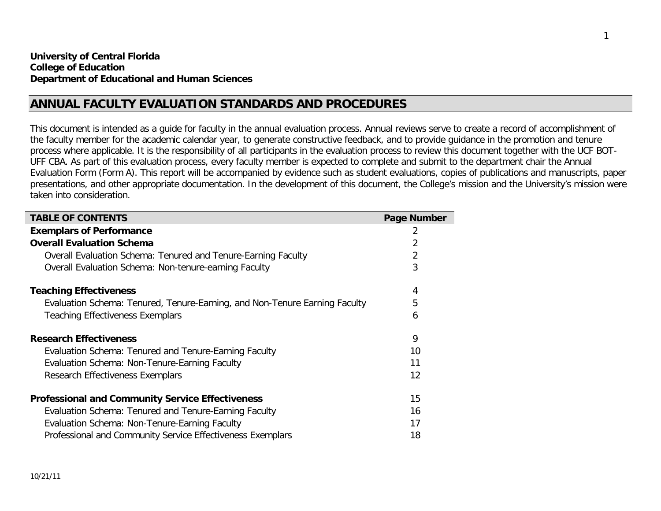# **ANNUAL FACULTY EVALUATION STANDARDS AND PROCEDURES**

This document is intended as a guide for faculty in the annual evaluation process. Annual reviews serve to create a record of accomplishment of the faculty member for the academic calendar year, to generate constructive feedback, and to provide guidance in the promotion and tenure process where applicable. It is the responsibility of all participants in the evaluation process to review this document together with the UCF BOT-UFF CBA. As part of this evaluation process, every faculty member is expected to complete and submit to the department chair the Annual Evaluation Form (Form A). This report will be accompanied by evidence such as student evaluations, copies of publications and manuscripts, paper presentations, and other appropriate documentation. In the development of this document, the College's mission and the University's mission were taken into consideration.

| <b>TABLE OF CONTENTS</b>                                                   | Page Number |
|----------------------------------------------------------------------------|-------------|
| <b>Exemplars of Performance</b>                                            | 2           |
| <b>Overall Evaluation Schema</b>                                           | 2           |
| Overall Evaluation Schema: Tenured and Tenure-Earning Faculty              | 2           |
| <b>Overall Evaluation Schema: Non-tenure-earning Faculty</b>               | 3           |
| <b>Teaching Effectiveness</b>                                              | 4           |
| Evaluation Schema: Tenured, Tenure-Earning, and Non-Tenure Earning Faculty | 5           |
| <b>Teaching Effectiveness Exemplars</b>                                    | 6           |
| <b>Research Effectiveness</b>                                              | 9           |
| Evaluation Schema: Tenured and Tenure-Earning Faculty                      | 10          |
| Evaluation Schema: Non-Tenure-Earning Faculty                              | 11          |
| Research Effectiveness Exemplars                                           | 12          |
| <b>Professional and Community Service Effectiveness</b>                    | 15          |
| Evaluation Schema: Tenured and Tenure-Earning Faculty                      | 16          |
| Evaluation Schema: Non-Tenure-Earning Faculty                              | 17          |
| Professional and Community Service Effectiveness Exemplars                 | 18          |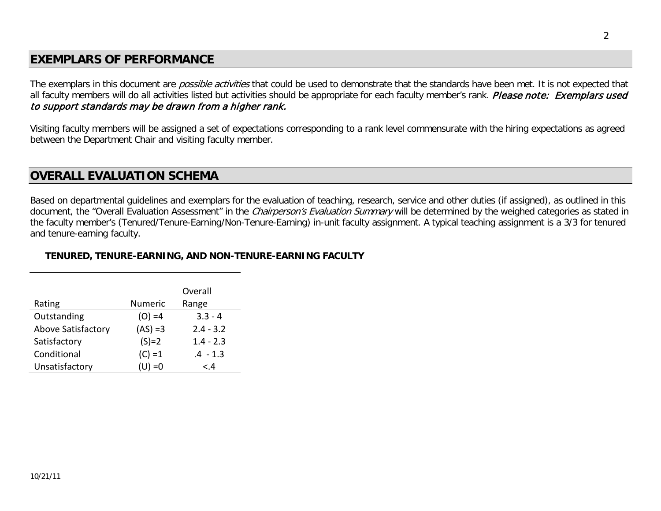# **EXEMPLARS OF PERFORMANCE**

The exemplars in this document are *possible activities* that could be used to demonstrate that the standards have been met. It is not expected that all faculty members will do all activities listed but activities should be appropriate for each faculty member's rank. Please note: Exemplars used to support standards may be drawn from a higher rank.

Visiting faculty members will be assigned a set of expectations corresponding to a rank level commensurate with the hiring expectations as agreed between the Department Chair and visiting faculty member.

# **OVERALL EVALUATION SCHEMA**

Based on departmental guidelines and exemplars for the evaluation of teaching, research, service and other duties (if assigned), as outlined in this document, the "Overall Evaluation Assessment" in the Chairperson's Evaluation Summary will be determined by the weighed categories as stated in the faculty member's (Tenured/Tenure-Earning/Non-Tenure-Earning) in-unit faculty assignment. A typical teaching assignment is a 3/3 for tenured and tenure-earning faculty.

## **TENURED, TENURE-EARNING, AND NON-TENURE-EARNING FACULTY**

|                           |            | Overall     |
|---------------------------|------------|-------------|
| Rating                    | Numeric    | Range       |
| Outstanding               | $(O) = 4$  | $3.3 - 4$   |
| <b>Above Satisfactory</b> | $(AS) = 3$ | $2.4 - 3.2$ |
| Satisfactory              | $(S)=2$    | $1.4 - 2.3$ |
| Conditional               | $(C) = 1$  | $.4 - 1.3$  |
| Unsatisfactory            | $(U) = 0$  | < 4         |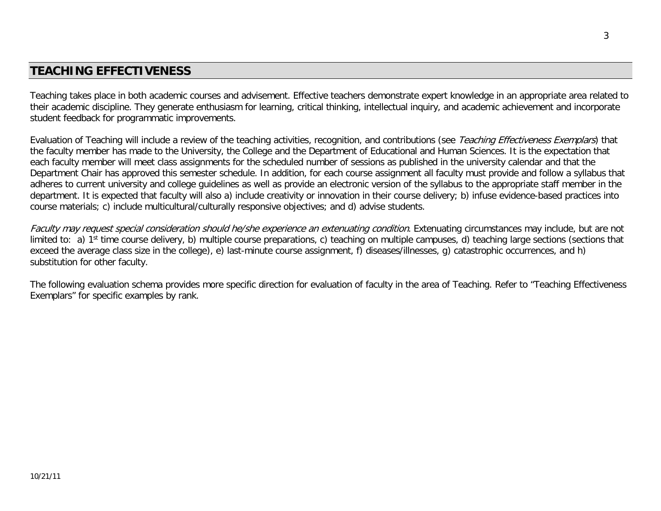# **TEACHING EFFECTIVENESS**

Teaching takes place in both academic courses and advisement. Effective teachers demonstrate expert knowledge in an appropriate area related to their academic discipline. They generate enthusiasm for learning, critical thinking, intellectual inquiry, and academic achievement and incorporate student feedback for programmatic improvements.

Evaluation of Teaching will include a review of the teaching activities, recognition, and contributions (see Teaching Effectiveness Exemplars) that the faculty member has made to the University, the College and the Department of Educational and Human Sciences. It is the expectation that each faculty member will meet class assignments for the scheduled number of sessions as published in the university calendar and that the Department Chair has approved this semester schedule. In addition, for each course assignment all faculty must provide and follow a syllabus that adheres to current university and college guidelines as well as provide an electronic version of the syllabus to the appropriate staff member in the department. It is expected that faculty will also a) include creativity or innovation in their course delivery; b) infuse evidence-based practices into course materials; c) include multicultural/culturally responsive objectives; and d) advise students.

Faculty may request special consideration should he/she experience an extenuating condition. Extenuating circumstances may include, but are not limited to: a) 1<sup>st</sup> time course delivery, b) multiple course preparations, c) teaching on multiple campuses, d) teaching large sections (sections that exceed the average class size in the college), e) last-minute course assignment, f) diseases/illnesses, g) catastrophic occurrences, and h) substitution for other faculty.

The following evaluation schema provides more specific direction for evaluation of faculty in the area of Teaching. Refer to "Teaching Effectiveness Exemplars" for specific examples by rank.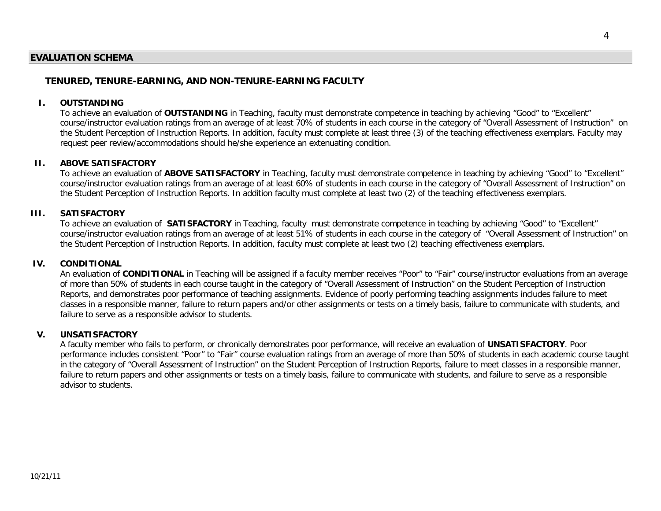## **EVALUATION SCHEMA**

## **TENURED, TENURE-EARNING, AND NON-TENURE-EARNING FACULTY**

#### **I. OUTSTANDING**

To achieve an evaluation of **OUTSTANDING** in Teaching, faculty must demonstrate competence in teaching by achieving "Good" to "Excellent" course/instructor evaluation ratings from an average of at least 70% of students in each course in the category of "Overall Assessment of Instruction" on the Student Perception of Instruction Reports. In addition, faculty must complete at least three (3) of the teaching effectiveness exemplars. Faculty may request peer review/accommodations should he/she experience an extenuating condition.

#### **II. ABOVE SATISFACTORY**

To achieve an evaluation of **ABOVE SATISFACTORY** in Teaching, faculty must demonstrate competence in teaching by achieving "Good" to "Excellent" course/instructor evaluation ratings from an average of at least 60% of students in each course in the category of "Overall Assessment of Instruction" on the Student Perception of Instruction Reports. In addition faculty must complete at least two (2) of the teaching effectiveness exemplars.

#### **III. SATISFACTORY**

To achieve an evaluation of **SATISFACTORY** in Teaching, faculty must demonstrate competence in teaching by achieving "Good" to "Excellent" course/instructor evaluation ratings from an average of at least 51% of students in each course in the category of "Overall Assessment of Instruction" on the Student Perception of Instruction Reports. In addition, faculty must complete at least two (2) teaching effectiveness exemplars.

#### **IV. CONDITIONAL**

An evaluation of **CONDITIONAL** in Teaching will be assigned if a faculty member receives "Poor" to "Fair" course/instructor evaluations from an average of more than 50% of students in each course taught in the category of "Overall Assessment of Instruction" on the Student Perception of Instruction Reports, and demonstrates poor performance of teaching assignments. Evidence of poorly performing teaching assignments includes failure to meet classes in a responsible manner, failure to return papers and/or other assignments or tests on a timely basis, failure to communicate with students, and failure to serve as a responsible advisor to students.

#### **V. UNSATISFACTORY**

A faculty member who fails to perform, or chronically demonstrates poor performance, will receive an evaluation of **UNSATISFACTORY**. Poor performance includes consistent "Poor" to "Fair" course evaluation ratings from an average of more than 50% of students in each academic course taught in the category of "Overall Assessment of Instruction" on the Student Perception of Instruction Reports, failure to meet classes in a responsible manner, failure to return papers and other assignments or tests on a timely basis, failure to communicate with students, and failure to serve as a responsible advisor to students.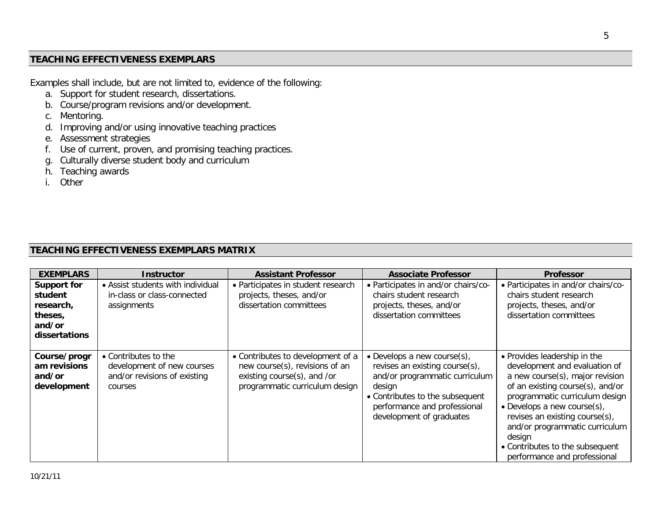## **TEACHING EFFECTIVENESS EXEMPLARS**

Examples shall include, but are not limited to, evidence of the following:

- a. Support for student research, dissertations.
- b. Course/program revisions and/or development.
- c. Mentoring.
- d. Improving and/or using innovative teaching practices
- e. Assessment strategies
- f. Use of current, proven, and promising teaching practices.
- g. Culturally diverse student body and curriculum
- h. Teaching awards
- i. Other

# **TEACHING EFFECTIVENESS EXEMPLARS MATRIX**

| <b>EXEMPLARS</b>                                                                 | <b>Instructor</b>                                                                             | <b>Assistant Professor</b>                                                                                                           | <b>Associate Professor</b>                                                                                                                                                                                   | <b>Professor</b>                                                                                                                                                                                                                                                                                                                                           |
|----------------------------------------------------------------------------------|-----------------------------------------------------------------------------------------------|--------------------------------------------------------------------------------------------------------------------------------------|--------------------------------------------------------------------------------------------------------------------------------------------------------------------------------------------------------------|------------------------------------------------------------------------------------------------------------------------------------------------------------------------------------------------------------------------------------------------------------------------------------------------------------------------------------------------------------|
| <b>Support for</b><br>student<br>research,<br>theses,<br>and/or<br>dissertations | • Assist students with individual<br>in-class or class-connected<br>assignments               | • Participates in student research<br>projects, theses, and/or<br>dissertation committees                                            | • Participates in and/or chairs/co-<br>chairs student research<br>projects, theses, and/or<br>dissertation committees                                                                                        | • Participates in and/or chairs/co-<br>chairs student research<br>projects, theses, and/or<br>dissertation committees                                                                                                                                                                                                                                      |
| Course/progr<br>am revisions<br>and/or<br>development                            | • Contributes to the<br>development of new courses<br>and/or revisions of existing<br>courses | • Contributes to development of a<br>new course(s), revisions of an<br>existing course(s), and /or<br>programmatic curriculum design | • Develops a new course $(s)$ ,<br>revises an existing course(s),<br>and/or programmatic curriculum<br>design<br>• Contributes to the subsequent<br>performance and professional<br>development of graduates | • Provides leadership in the<br>development and evaluation of<br>a new course(s), major revision<br>of an existing course(s), and/or<br>programmatic curriculum design<br>• Develops a new course $(s)$ ,<br>revises an existing course(s),<br>and/or programmatic curriculum<br>design<br>• Contributes to the subsequent<br>performance and professional |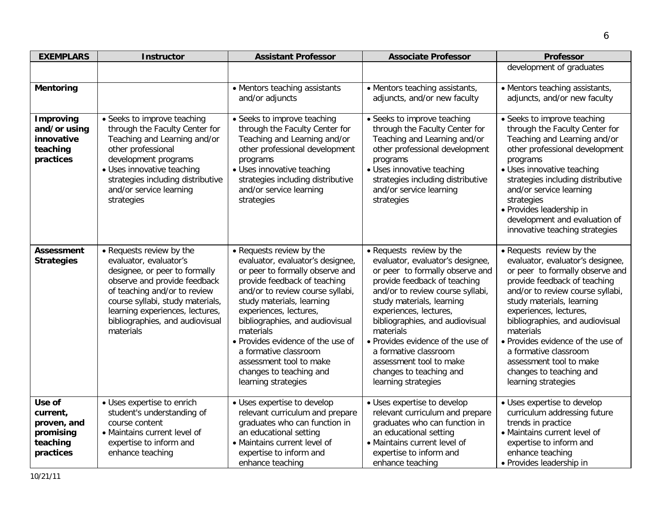| <b>EXEMPLARS</b>                                                        | <b>Instructor</b>                                                                                                                                                                                                                                                          | <b>Assistant Professor</b>                                                                                                                                                                                                                                                                                                                                                                                            | <b>Associate Professor</b>                                                                                                                                                                                                                                                                                                                                                                                            | <b>Professor</b>                                                                                                                                                                                                                                                                                                                                                                                                      |
|-------------------------------------------------------------------------|----------------------------------------------------------------------------------------------------------------------------------------------------------------------------------------------------------------------------------------------------------------------------|-----------------------------------------------------------------------------------------------------------------------------------------------------------------------------------------------------------------------------------------------------------------------------------------------------------------------------------------------------------------------------------------------------------------------|-----------------------------------------------------------------------------------------------------------------------------------------------------------------------------------------------------------------------------------------------------------------------------------------------------------------------------------------------------------------------------------------------------------------------|-----------------------------------------------------------------------------------------------------------------------------------------------------------------------------------------------------------------------------------------------------------------------------------------------------------------------------------------------------------------------------------------------------------------------|
|                                                                         |                                                                                                                                                                                                                                                                            |                                                                                                                                                                                                                                                                                                                                                                                                                       |                                                                                                                                                                                                                                                                                                                                                                                                                       | development of graduates                                                                                                                                                                                                                                                                                                                                                                                              |
| <b>Mentoring</b>                                                        |                                                                                                                                                                                                                                                                            | • Mentors teaching assistants<br>and/or adjuncts                                                                                                                                                                                                                                                                                                                                                                      | • Mentors teaching assistants,<br>adjuncts, and/or new faculty                                                                                                                                                                                                                                                                                                                                                        | • Mentors teaching assistants,<br>adjuncts, and/or new faculty                                                                                                                                                                                                                                                                                                                                                        |
| <b>Improving</b><br>and/or using<br>innovative<br>teaching<br>practices | • Seeks to improve teaching<br>through the Faculty Center for<br>Teaching and Learning and/or<br>other professional<br>development programs<br>· Uses innovative teaching<br>strategies including distributive<br>and/or service learning<br>strategies                    | • Seeks to improve teaching<br>through the Faculty Center for<br>Teaching and Learning and/or<br>other professional development<br>programs<br>• Uses innovative teaching<br>strategies including distributive<br>and/or service learning<br>strategies                                                                                                                                                               | • Seeks to improve teaching<br>through the Faculty Center for<br>Teaching and Learning and/or<br>other professional development<br>programs<br>· Uses innovative teaching<br>strategies including distributive<br>and/or service learning<br>strategies                                                                                                                                                               | • Seeks to improve teaching<br>through the Faculty Center for<br>Teaching and Learning and/or<br>other professional development<br>programs<br>· Uses innovative teaching<br>strategies including distributive<br>and/or service learning<br>strategies<br>· Provides leadership in<br>development and evaluation of<br>innovative teaching strategies                                                                |
| <b>Assessment</b><br><b>Strategies</b>                                  | • Requests review by the<br>evaluator, evaluator's<br>designee, or peer to formally<br>observe and provide feedback<br>of teaching and/or to review<br>course syllabi, study materials,<br>learning experiences, lectures,<br>bibliographies, and audiovisual<br>materials | • Requests review by the<br>evaluator, evaluator's designee,<br>or peer to formally observe and<br>provide feedback of teaching<br>and/or to review course syllabi,<br>study materials, learning<br>experiences, lectures,<br>bibliographies, and audiovisual<br>materials<br>• Provides evidence of the use of<br>a formative classroom<br>assessment tool to make<br>changes to teaching and<br>learning strategies | • Requests review by the<br>evaluator, evaluator's designee,<br>or peer to formally observe and<br>provide feedback of teaching<br>and/or to review course syllabi,<br>study materials, learning<br>experiences, lectures,<br>bibliographies, and audiovisual<br>materials<br>• Provides evidence of the use of<br>a formative classroom<br>assessment tool to make<br>changes to teaching and<br>learning strategies | • Requests review by the<br>evaluator, evaluator's designee,<br>or peer to formally observe and<br>provide feedback of teaching<br>and/or to review course syllabi,<br>study materials, learning<br>experiences, lectures,<br>bibliographies, and audiovisual<br>materials<br>• Provides evidence of the use of<br>a formative classroom<br>assessment tool to make<br>changes to teaching and<br>learning strategies |
| Use of<br>current,<br>proven, and<br>promising<br>teaching<br>practices | • Uses expertise to enrich<br>student's understanding of<br>course content<br>• Maintains current level of<br>expertise to inform and<br>enhance teaching                                                                                                                  | • Uses expertise to develop<br>relevant curriculum and prepare<br>graduates who can function in<br>an educational setting<br>· Maintains current level of<br>expertise to inform and<br>enhance teaching                                                                                                                                                                                                              | • Uses expertise to develop<br>relevant curriculum and prepare<br>graduates who can function in<br>an educational setting<br>• Maintains current level of<br>expertise to inform and<br>enhance teaching                                                                                                                                                                                                              | · Uses expertise to develop<br>curriculum addressing future<br>trends in practice<br>• Maintains current level of<br>expertise to inform and<br>enhance teaching<br>• Provides leadership in                                                                                                                                                                                                                          |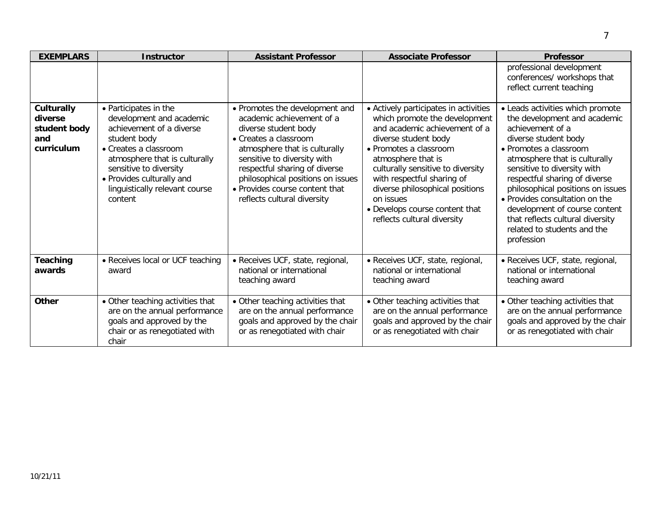| <b>EXEMPLARS</b>                                                  | <b>Instructor</b>                                                                                                                                                                                                                                           | <b>Assistant Professor</b>                                                                                                                                                                                                                                                                                          | <b>Associate Professor</b>                                                                                                                                                                                                                                                                                                                                          | <b>Professor</b>                                                                                                                                                                                                                                                                                                                                                                                                                 |
|-------------------------------------------------------------------|-------------------------------------------------------------------------------------------------------------------------------------------------------------------------------------------------------------------------------------------------------------|---------------------------------------------------------------------------------------------------------------------------------------------------------------------------------------------------------------------------------------------------------------------------------------------------------------------|---------------------------------------------------------------------------------------------------------------------------------------------------------------------------------------------------------------------------------------------------------------------------------------------------------------------------------------------------------------------|----------------------------------------------------------------------------------------------------------------------------------------------------------------------------------------------------------------------------------------------------------------------------------------------------------------------------------------------------------------------------------------------------------------------------------|
|                                                                   |                                                                                                                                                                                                                                                             |                                                                                                                                                                                                                                                                                                                     |                                                                                                                                                                                                                                                                                                                                                                     | professional development<br>conferences/ workshops that<br>reflect current teaching                                                                                                                                                                                                                                                                                                                                              |
| <b>Culturally</b><br>diverse<br>student body<br>and<br>curriculum | • Participates in the<br>development and academic<br>achievement of a diverse<br>student body<br>• Creates a classroom<br>atmosphere that is culturally<br>sensitive to diversity<br>• Provides culturally and<br>linguistically relevant course<br>content | • Promotes the development and<br>academic achievement of a<br>diverse student body<br>• Creates a classroom<br>atmosphere that is culturally<br>sensitive to diversity with<br>respectful sharing of diverse<br>philosophical positions on issues<br>• Provides course content that<br>reflects cultural diversity | • Actively participates in activities<br>which promote the development<br>and academic achievement of a<br>diverse student body<br>• Promotes a classroom<br>atmosphere that is<br>culturally sensitive to diversity<br>with respectful sharing of<br>diverse philosophical positions<br>on issues<br>• Develops course content that<br>reflects cultural diversity | • Leads activities which promote<br>the development and academic<br>achievement of a<br>diverse student body<br>• Promotes a classroom<br>atmosphere that is culturally<br>sensitive to diversity with<br>respectful sharing of diverse<br>philosophical positions on issues<br>• Provides consultation on the<br>development of course content<br>that reflects cultural diversity<br>related to students and the<br>profession |
| Teaching<br>awards                                                | • Receives local or UCF teaching<br>award                                                                                                                                                                                                                   | · Receives UCF, state, regional,<br>national or international<br>teaching award                                                                                                                                                                                                                                     | · Receives UCF, state, regional,<br>national or international<br>teaching award                                                                                                                                                                                                                                                                                     | · Receives UCF, state, regional,<br>national or international<br>teaching award                                                                                                                                                                                                                                                                                                                                                  |
| <b>Other</b>                                                      | • Other teaching activities that<br>are on the annual performance<br>goals and approved by the<br>chair or as renegotiated with<br>chair                                                                                                                    | • Other teaching activities that<br>are on the annual performance<br>goals and approved by the chair<br>or as renegotiated with chair                                                                                                                                                                               | • Other teaching activities that<br>are on the annual performance<br>goals and approved by the chair<br>or as renegotiated with chair                                                                                                                                                                                                                               | • Other teaching activities that<br>are on the annual performance<br>goals and approved by the chair<br>or as renegotiated with chair                                                                                                                                                                                                                                                                                            |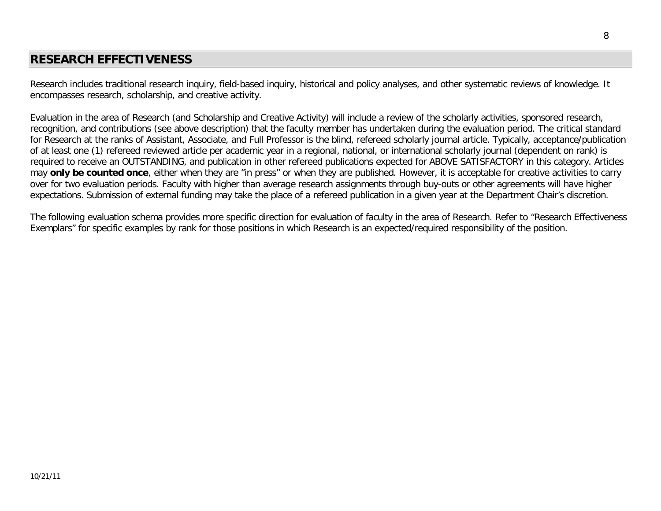# **RESEARCH EFFECTIVENESS**

Research includes traditional research inquiry, field-based inquiry, historical and policy analyses, and other systematic reviews of knowledge. It encompasses research, scholarship, and creative activity.

Evaluation in the area of Research (and Scholarship and Creative Activity) will include a review of the scholarly activities, sponsored research, recognition, and contributions (see above description) that the faculty member has undertaken during the evaluation period. The critical standard for Research at the ranks of Assistant, Associate, and Full Professor is the blind, refereed scholarly journal article. Typically, acceptance/publication of at least one (1) refereed reviewed article per academic year in a regional, national, or international scholarly journal (dependent on rank) is required to receive an OUTSTANDING, and publication in other refereed publications expected for ABOVE SATISFACTORY in this category. Articles may **only be counted once**, either when they are "in press" or when they are published. However, it is acceptable for creative activities to carry over for two evaluation periods. Faculty with higher than average research assignments through buy-outs or other agreements will have higher expectations. Submission of external funding may take the place of a refereed publication in a given year at the Department Chair's discretion.

The following evaluation schema provides more specific direction for evaluation of faculty in the area of Research. Refer to "Research Effectiveness Exemplars" for specific examples by rank for those positions in which Research is an expected/required responsibility of the position.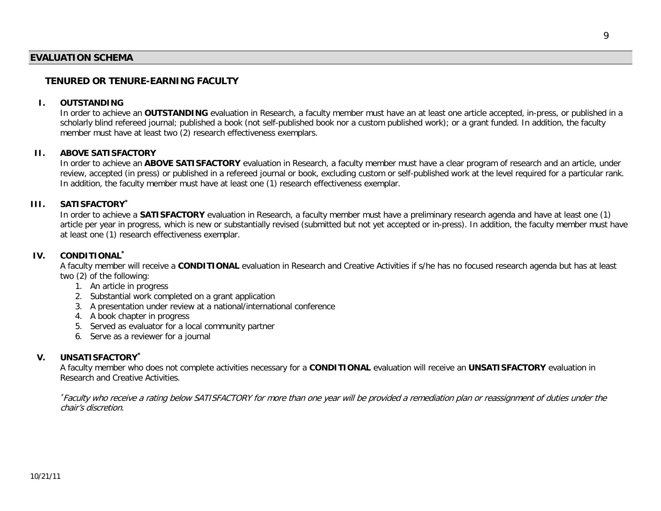## **EVALUATION SCHEMA**

## **TENURED OR TENURE-EARNING FACULTY**

#### **I. OUTSTANDING**

In order to achieve an **OUTSTANDING** evaluation in Research, a faculty member must have an at least one article accepted, in-press, or published in a scholarly blind refereed journal; published a book (not self-published book nor a custom published work); or a grant funded. In addition, the faculty member must have at least two (2) research effectiveness exemplars.

#### **II. ABOVE SATISFACTORY**

In order to achieve an **ABOVE SATISFACTORY** evaluation in Research, a faculty member must have a clear program of research and an article, under review, accepted (in press) or published in a refereed journal or book, excluding custom or self-published work at the level required for a particular rank. In addition, the faculty member must have at least one (1) research effectiveness exemplar.

#### **III. SATISFACTORY\***

In order to achieve a **SATISFACTORY** evaluation in Research, a faculty member must have a preliminary research agenda and have at least one (1) article per year in progress, which is new or substantially revised (submitted but not yet accepted or in-press). In addition, the faculty member must have at least one (1) research effectiveness exemplar.

## **IV. CONDITIONAL\***

A faculty member will receive a **CONDITIONAL** evaluation in Research and Creative Activities if s/he has no focused research agenda but has at least two (2) of the following:

- 1. An article in progress
- 2. Substantial work completed on a grant application
- 3. A presentation under review at a national/international conference
- 4. A book chapter in progress
- 5. Served as evaluator for a local community partner
- 6. Serve as a reviewer for a journal

#### **V. UNSATISFACTORY\***

A faculty member who does not complete activities necessary for a **CONDITIONAL** evaluation will receive an **UNSATISFACTORY** evaluation in Research and Creative Activities.

\* Faculty who receive a rating below SATISFACTORY for more than one year will be provided a remediation plan or reassignment of duties under the chair's discretion.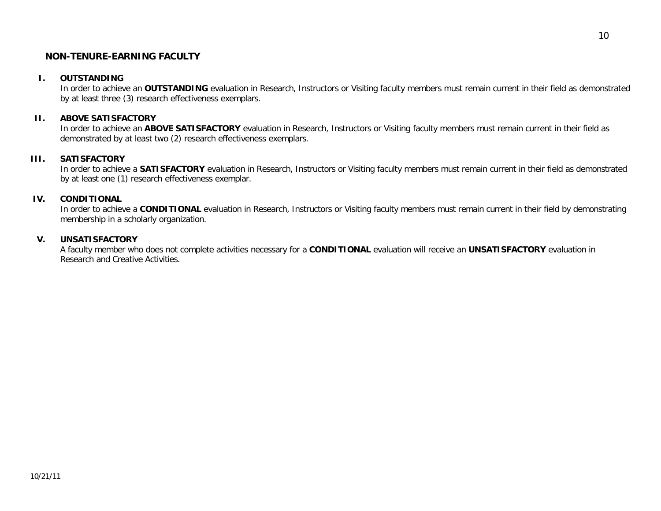## **NON-TENURE-EARNING FACULTY**

### **I. OUTSTANDING**

In order to achieve an **OUTSTANDING** evaluation in Research, Instructors or Visiting faculty members must remain current in their field as demonstrated by at least three (3) research effectiveness exemplars.

### **II. ABOVE SATISFACTORY**

In order to achieve an **ABOVE SATISFACTORY** evaluation in Research, Instructors or Visiting faculty members must remain current in their field as demonstrated by at least two (2) research effectiveness exemplars.

## **III. SATISFACTORY**

In order to achieve a **SATISFACTORY** evaluation in Research, Instructors or Visiting faculty members must remain current in their field as demonstrated by at least one (1) research effectiveness exemplar.

## **IV. CONDITIONAL**

In order to achieve a CONDITIONAL evaluation in Research, Instructors or Visiting faculty members must remain current in their field by demonstrating membership in a scholarly organization.

### **V. UNSATISFACTORY**

A faculty member who does not complete activities necessary for a **CONDITIONAL** evaluation will receive an **UNSATISFACTORY** evaluation in Research and Creative Activities.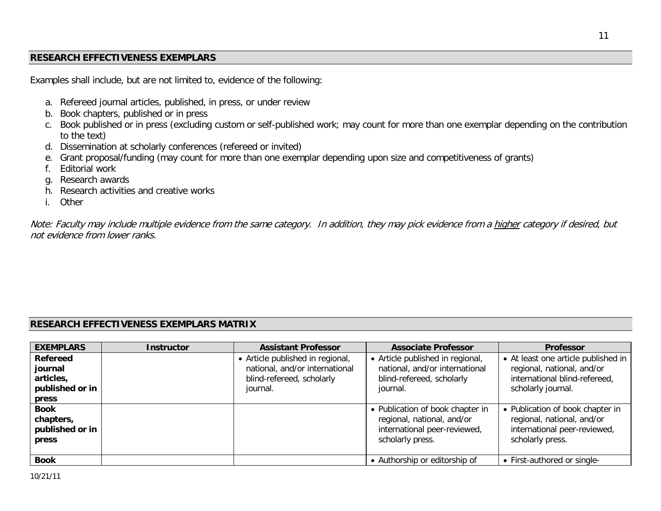## **RESEARCH EFFECTIVENESS EXEMPLARS**

Examples shall include, but are not limited to, evidence of the following:

- a. Refereed journal articles, published, in press, or under review
- b. Book chapters, published or in press
- c. Book published or in press (excluding custom or self-published work; may count for more than one exemplar depending on the contribution to the text)
- d. Dissemination at scholarly conferences (refereed or invited)
- e. Grant proposal/funding (may count for more than one exemplar depending upon size and competitiveness of grants)
- f. Editorial work
- g. Research awards
- h. Research activities and creative works
- i. Other

Note: Faculty may include multiple evidence from the same category. In addition, they may pick evidence from a higher category if desired, but not evidence from lower ranks.

## **RESEARCH EFFECTIVENESS EXEMPLARS MATRIX**

| <b>EXEMPLARS</b>                                     | <b>Instructor</b> | <b>Assistant Professor</b>                                         | <b>Associate Professor</b>                                                                                         | <b>Professor</b>                                                                                                   |
|------------------------------------------------------|-------------------|--------------------------------------------------------------------|--------------------------------------------------------------------------------------------------------------------|--------------------------------------------------------------------------------------------------------------------|
| <b>Refereed</b><br>journal<br>articles,              |                   | • Article published in regional,<br>national, and/or international | • Article published in regional,<br>national, and/or international                                                 | • At least one article published in<br>regional, national, and/or<br>international blind-refereed,                 |
| published or in<br>press                             |                   | blind-refereed, scholarly<br>journal.                              | blind-refereed, scholarly<br>journal.                                                                              | scholarly journal.                                                                                                 |
| <b>Book</b><br>chapters,<br>published or in<br>press |                   |                                                                    | • Publication of book chapter in<br>regional, national, and/or<br>international peer-reviewed,<br>scholarly press. | • Publication of book chapter in<br>regional, national, and/or<br>international peer-reviewed,<br>scholarly press. |
| <b>Book</b>                                          |                   |                                                                    | • Authorship or editorship of                                                                                      | • First-authored or single-                                                                                        |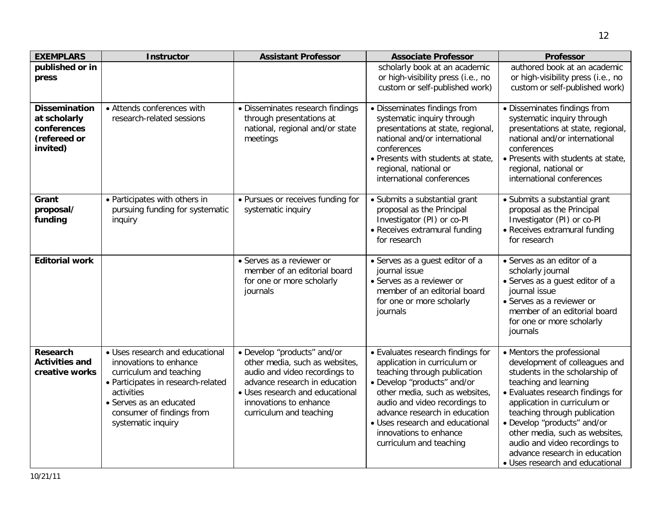| <b>EXEMPLARS</b>                                                                | <b>Instructor</b>                                                                                                                                                                                                      | <b>Assistant Professor</b>                                                                                                                                                                                              | <b>Associate Professor</b>                                                                                                                                                                                                                                                                                                   | <b>Professor</b>                                                                                                                                                                                                                                                                                                                                                                                  |
|---------------------------------------------------------------------------------|------------------------------------------------------------------------------------------------------------------------------------------------------------------------------------------------------------------------|-------------------------------------------------------------------------------------------------------------------------------------------------------------------------------------------------------------------------|------------------------------------------------------------------------------------------------------------------------------------------------------------------------------------------------------------------------------------------------------------------------------------------------------------------------------|---------------------------------------------------------------------------------------------------------------------------------------------------------------------------------------------------------------------------------------------------------------------------------------------------------------------------------------------------------------------------------------------------|
| published or in<br>press                                                        |                                                                                                                                                                                                                        |                                                                                                                                                                                                                         | scholarly book at an academic<br>or high-visibility press (i.e., no<br>custom or self-published work)                                                                                                                                                                                                                        | authored book at an academic<br>or high-visibility press (i.e., no<br>custom or self-published work)                                                                                                                                                                                                                                                                                              |
| <b>Dissemination</b><br>at scholarly<br>conferences<br>(refereed or<br>invited) | • Attends conferences with<br>research-related sessions                                                                                                                                                                | • Disseminates research findings<br>through presentations at<br>national, regional and/or state<br>meetings                                                                                                             | · Disseminates findings from<br>systematic inquiry through<br>presentations at state, regional,<br>national and/or international<br>conferences<br>. Presents with students at state,<br>regional, national or<br>international conferences                                                                                  | · Disseminates findings from<br>systematic inquiry through<br>presentations at state, regional,<br>national and/or international<br>conferences<br>· Presents with students at state,<br>regional, national or<br>international conferences                                                                                                                                                       |
| Grant<br>proposal/<br>funding                                                   | • Participates with others in<br>pursuing funding for systematic<br>inquiry                                                                                                                                            | • Pursues or receives funding for<br>systematic inquiry                                                                                                                                                                 | • Submits a substantial grant<br>proposal as the Principal<br>Investigator (PI) or co-PI<br>• Receives extramural funding<br>for research                                                                                                                                                                                    | • Submits a substantial grant<br>proposal as the Principal<br>Investigator (PI) or co-PI<br>• Receives extramural funding<br>for research                                                                                                                                                                                                                                                         |
| <b>Editorial work</b>                                                           |                                                                                                                                                                                                                        | • Serves as a reviewer or<br>member of an editorial board<br>for one or more scholarly<br>journals                                                                                                                      | · Serves as a guest editor of a<br>journal issue<br>• Serves as a reviewer or<br>member of an editorial board<br>for one or more scholarly<br>journals                                                                                                                                                                       | • Serves as an editor of a<br>scholarly journal<br>· Serves as a guest editor of a<br>journal issue<br>• Serves as a reviewer or<br>member of an editorial board<br>for one or more scholarly<br>journals                                                                                                                                                                                         |
| Research<br><b>Activities and</b><br>creative works                             | · Uses research and educational<br>innovations to enhance<br>curriculum and teaching<br>• Participates in research-related<br>activities<br>• Serves as an educated<br>consumer of findings from<br>systematic inquiry | · Develop "products" and/or<br>other media, such as websites,<br>audio and video recordings to<br>advance research in education<br>• Uses research and educational<br>innovations to enhance<br>curriculum and teaching | • Evaluates research findings for<br>application in curriculum or<br>teaching through publication<br>· Develop "products" and/or<br>other media, such as websites,<br>audio and video recordings to<br>advance research in education<br>• Uses research and educational<br>innovations to enhance<br>curriculum and teaching | • Mentors the professional<br>development of colleagues and<br>students in the scholarship of<br>teaching and learning<br>• Evaluates research findings for<br>application in curriculum or<br>teaching through publication<br>· Develop "products" and/or<br>other media, such as websites,<br>audio and video recordings to<br>advance research in education<br>• Uses research and educational |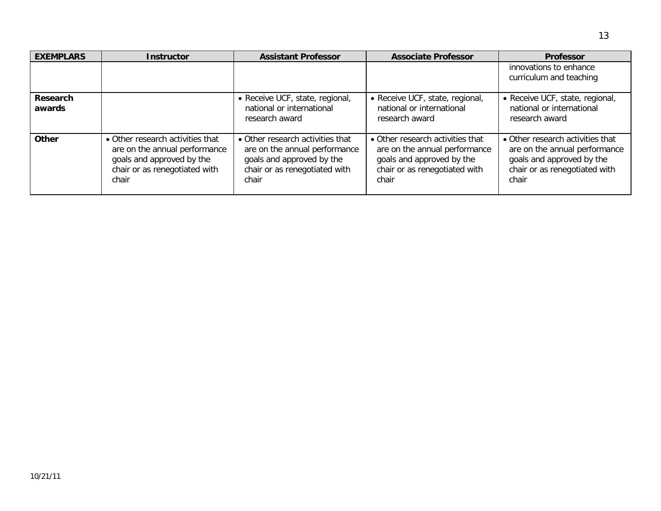| <b>EXEMPLARS</b>   | <b>Instructor</b>                                                                                                                        | <b>Assistant Professor</b>                                                                                                               | <b>Associate Professor</b>                                                                                                               | <b>Professor</b>                                                                                                                         |
|--------------------|------------------------------------------------------------------------------------------------------------------------------------------|------------------------------------------------------------------------------------------------------------------------------------------|------------------------------------------------------------------------------------------------------------------------------------------|------------------------------------------------------------------------------------------------------------------------------------------|
|                    |                                                                                                                                          |                                                                                                                                          |                                                                                                                                          | innovations to enhance<br>curriculum and teaching                                                                                        |
| Research<br>awards |                                                                                                                                          | • Receive UCF, state, regional,<br>national or international<br>research award                                                           | • Receive UCF, state, regional,<br>national or international<br>research award                                                           | • Receive UCF, state, regional,<br>national or international<br>research award                                                           |
| <b>Other</b>       | • Other research activities that<br>are on the annual performance<br>goals and approved by the<br>chair or as renegotiated with<br>chair | • Other research activities that<br>are on the annual performance<br>goals and approved by the<br>chair or as renegotiated with<br>chair | • Other research activities that<br>are on the annual performance<br>goals and approved by the<br>chair or as renegotiated with<br>chair | • Other research activities that<br>are on the annual performance<br>goals and approved by the<br>chair or as renegotiated with<br>chair |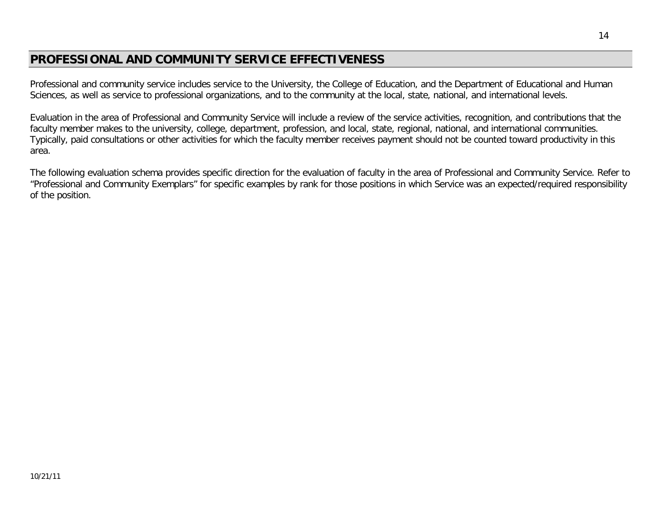# **PROFESSIONAL AND COMMUNITY SERVICE EFFECTIVENESS**

Professional and community service includes service to the University, the College of Education, and the Department of Educational and Human Sciences, as well as service to professional organizations, and to the community at the local, state, national, and international levels.

Evaluation in the area of Professional and Community Service will include a review of the service activities, recognition, and contributions that the faculty member makes to the university, college, department, profession, and local, state, regional, national, and international communities. Typically, paid consultations or other activities for which the faculty member receives payment should not be counted toward productivity in this area.

The following evaluation schema provides specific direction for the evaluation of faculty in the area of Professional and Community Service. Refer to "Professional and Community Exemplars" for specific examples by rank for those positions in which Service was an expected/required responsibility of the position.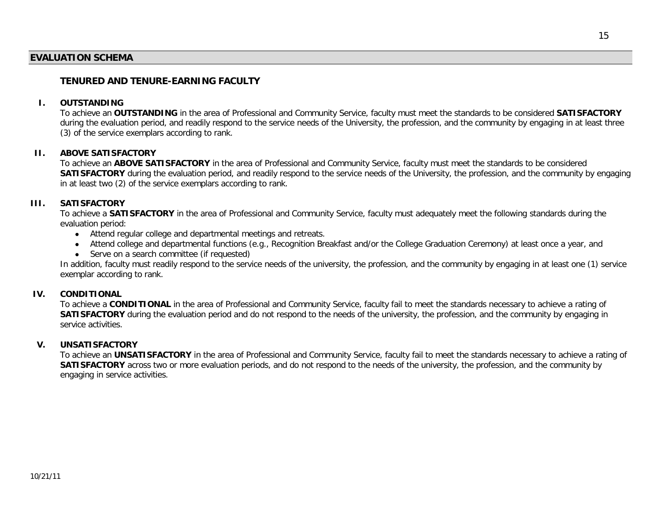## **EVALUATION SCHEMA**

## **TENURED AND TENURE-EARNING FACULTY**

#### **I. OUTSTANDING**

To achieve an **OUTSTANDING** in the area of Professional and Community Service, faculty must meet the standards to be considered **SATISFACTORY** during the evaluation period, and readily respond to the service needs of the University, the profession, and the community by engaging in at least three (3) of the service exemplars according to rank.

### **II. ABOVE SATISFACTORY**

To achieve an **ABOVE SATISFACTORY** in the area of Professional and Community Service, faculty must meet the standards to be considered **SATISFACTORY** during the evaluation period, and readily respond to the service needs of the University, the profession, and the community by engaging in at least two (2) of the service exemplars according to rank.

#### **III. SATISFACTORY**

To achieve a **SATISFACTORY** in the area of Professional and Community Service, faculty must adequately meet the following standards during the evaluation period:

- Attend regular college and departmental meetings and retreats.
- Attend college and departmental functions (e.g., Recognition Breakfast and/or the College Graduation Ceremony) at least once a year, and
- Serve on a search committee (if requested)

In addition, faculty must readily respond to the service needs of the university, the profession, and the community by engaging in at least one (1) service exemplar according to rank.

### **IV. CONDITIONAL**

To achieve a **CONDITIONAL** in the area of Professional and Community Service, faculty fail to meet the standards necessary to achieve a rating of **SATISFACTORY** during the evaluation period and do not respond to the needs of the university, the profession, and the community by engaging in service activities.

### **V. UNSATISFACTORY**

To achieve an **UNSATISFACTORY** in the area of Professional and Community Service, faculty fail to meet the standards necessary to achieve a rating of **SATISFACTORY** across two or more evaluation periods, and do not respond to the needs of the university, the profession, and the community by engaging in service activities.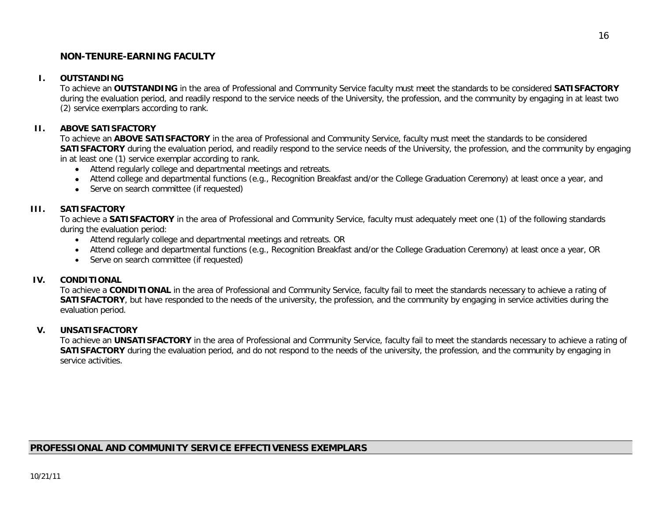## **NON-TENURE-EARNING FACULTY**

## **I. OUTSTANDING**

To achieve an **OUTSTANDING** in the area of Professional and Community Service faculty must meet the standards to be considered **SATISFACTORY** during the evaluation period, and readily respond to the service needs of the University, the profession, and the community by engaging in at least two (2) service exemplars according to rank.

## **II. ABOVE SATISFACTORY**

To achieve an **ABOVE SATISFACTORY** in the area of Professional and Community Service, faculty must meet the standards to be considered **SATISFACTORY** during the evaluation period, and readily respond to the service needs of the University, the profession, and the community by engaging in at least one (1) service exemplar according to rank.

- Attend regularly college and departmental meetings and retreats.
- Attend college and departmental functions (e.g., Recognition Breakfast and/or the College Graduation Ceremony) at least once a year, and
- Serve on search committee (if requested)

## **III. SATISFACTORY**

To achieve a **SATISFACTORY** in the area of Professional and Community Service, faculty must adequately meet one (1) of the following standards during the evaluation period:

- Attend regularly college and departmental meetings and retreats. OR
- Attend college and departmental functions (e.g., Recognition Breakfast and/or the College Graduation Ceremony) at least once a year, OR
- Serve on search committee (if requested)

### **IV. CONDITIONAL**

To achieve a **CONDITIONAL** in the area of Professional and Community Service, faculty fail to meet the standards necessary to achieve a rating of **SATISFACTORY**, but have responded to the needs of the university, the profession, and the community by engaging in service activities during the evaluation period.

### **V. UNSATISFACTORY**

To achieve an **UNSATISFACTORY** in the area of Professional and Community Service, faculty fail to meet the standards necessary to achieve a rating of **SATISFACTORY** during the evaluation period, and do not respond to the needs of the university, the profession, and the community by engaging in service activities.

## **PROFESSIONAL AND COMMUNITY SERVICE EFFECTIVENESS EXEMPLARS**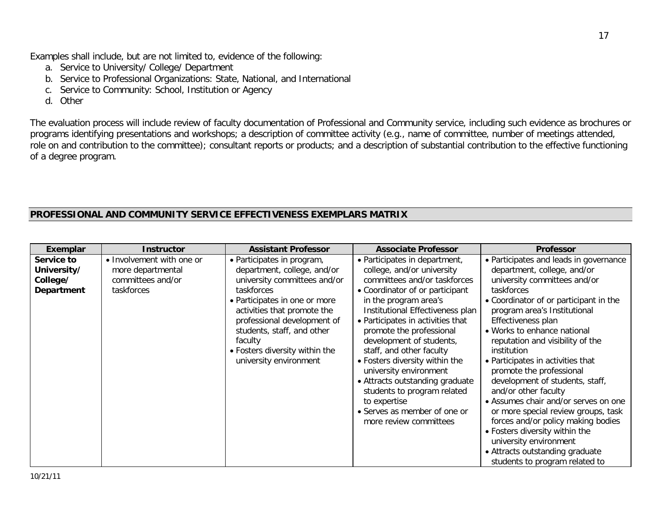Examples shall include, but are not limited to, evidence of the following:

- a. Service to University/ College/ Department
- b. Service to Professional Organizations: State, National, and International
- c. Service to Community: School, Institution or Agency
- d. Other

The evaluation process will include review of faculty documentation of Professional and Community service, including such evidence as brochures or programs identifying presentations and workshops; a description of committee activity (e.g., name of committee, number of meetings attended, role on and contribution to the committee); consultant reports or products; and a description of substantial contribution to the effective functioning of a degree program.

# **PROFESSIONAL AND COMMUNITY SERVICE EFFECTIVENESS EXEMPLARS MATRIX**

| Exemplar    | <b>Instructor</b>         | <b>Assistant Professor</b>                                                                                                                                                                       | <b>Associate Professor</b>                                                                                                                                                                                                                                                                                                                                                                 | <b>Professor</b>                                                                                                                                                                                                                                                                                                                                                                                                                                                                            |
|-------------|---------------------------|--------------------------------------------------------------------------------------------------------------------------------------------------------------------------------------------------|--------------------------------------------------------------------------------------------------------------------------------------------------------------------------------------------------------------------------------------------------------------------------------------------------------------------------------------------------------------------------------------------|---------------------------------------------------------------------------------------------------------------------------------------------------------------------------------------------------------------------------------------------------------------------------------------------------------------------------------------------------------------------------------------------------------------------------------------------------------------------------------------------|
| Service to  | • Involvement with one or | • Participates in program,                                                                                                                                                                       | • Participates in department,                                                                                                                                                                                                                                                                                                                                                              | • Participates and leads in governance                                                                                                                                                                                                                                                                                                                                                                                                                                                      |
| University/ | more departmental         | department, college, and/or                                                                                                                                                                      | college, and/or university                                                                                                                                                                                                                                                                                                                                                                 | department, college, and/or                                                                                                                                                                                                                                                                                                                                                                                                                                                                 |
| College/    | committees and/or         | university committees and/or                                                                                                                                                                     | committees and/or taskforces                                                                                                                                                                                                                                                                                                                                                               | university committees and/or                                                                                                                                                                                                                                                                                                                                                                                                                                                                |
| Department  | taskforces                | taskforces                                                                                                                                                                                       | • Coordinator of or participant                                                                                                                                                                                                                                                                                                                                                            | taskforces                                                                                                                                                                                                                                                                                                                                                                                                                                                                                  |
|             |                           | • Participates in one or more<br>activities that promote the<br>professional development of<br>students, staff, and other<br>faculty<br>• Fosters diversity within the<br>university environment | in the program area's<br>Institutional Effectiveness plan<br>• Participates in activities that<br>promote the professional<br>development of students,<br>staff, and other faculty<br>• Fosters diversity within the<br>university environment<br>• Attracts outstanding graduate<br>students to program related<br>to expertise<br>• Serves as member of one or<br>more review committees | • Coordinator of or participant in the<br>program area's Institutional<br>Effectiveness plan<br>• Works to enhance national<br>reputation and visibility of the<br>institution<br>• Participates in activities that<br>promote the professional<br>development of students, staff,<br>and/or other faculty<br>• Assumes chair and/or serves on one<br>or more special review groups, task<br>forces and/or policy making bodies<br>• Fosters diversity within the<br>university environment |
|             |                           |                                                                                                                                                                                                  |                                                                                                                                                                                                                                                                                                                                                                                            | • Attracts outstanding graduate<br>students to program related to                                                                                                                                                                                                                                                                                                                                                                                                                           |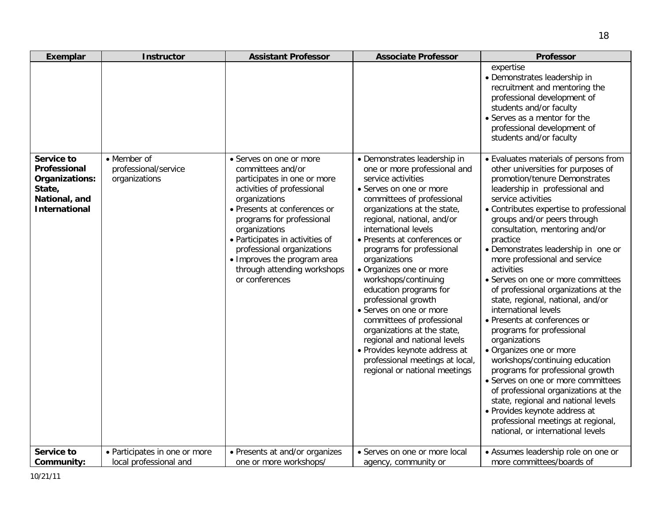| Exemplar                                                                                        | <b>Instructor</b>                                       | <b>Assistant Professor</b>                                                                                                                                                                                                                                                                                                                                | <b>Associate Professor</b>                                                                                                                                                                                                                                                                                                                                                                                                                                                                                                                                                                                                                      | <b>Professor</b>                                                                                                                                                                                                                                                                                                                                                                                                                                                                                                                                                                                                                                                                                                                                                                                                                                                                                                                              |
|-------------------------------------------------------------------------------------------------|---------------------------------------------------------|-----------------------------------------------------------------------------------------------------------------------------------------------------------------------------------------------------------------------------------------------------------------------------------------------------------------------------------------------------------|-------------------------------------------------------------------------------------------------------------------------------------------------------------------------------------------------------------------------------------------------------------------------------------------------------------------------------------------------------------------------------------------------------------------------------------------------------------------------------------------------------------------------------------------------------------------------------------------------------------------------------------------------|-----------------------------------------------------------------------------------------------------------------------------------------------------------------------------------------------------------------------------------------------------------------------------------------------------------------------------------------------------------------------------------------------------------------------------------------------------------------------------------------------------------------------------------------------------------------------------------------------------------------------------------------------------------------------------------------------------------------------------------------------------------------------------------------------------------------------------------------------------------------------------------------------------------------------------------------------|
|                                                                                                 |                                                         |                                                                                                                                                                                                                                                                                                                                                           |                                                                                                                                                                                                                                                                                                                                                                                                                                                                                                                                                                                                                                                 | expertise<br>• Demonstrates leadership in<br>recruitment and mentoring the<br>professional development of<br>students and/or faculty<br>• Serves as a mentor for the<br>professional development of<br>students and/or faculty                                                                                                                                                                                                                                                                                                                                                                                                                                                                                                                                                                                                                                                                                                                |
| Service to<br>Professional<br>Organizations:<br>State,<br>National, and<br><b>International</b> | • Member of<br>professional/service<br>organizations    | • Serves on one or more<br>committees and/or<br>participates in one or more<br>activities of professional<br>organizations<br>• Presents at conferences or<br>programs for professional<br>organizations<br>• Participates in activities of<br>professional organizations<br>• Improves the program area<br>through attending workshops<br>or conferences | • Demonstrates leadership in<br>one or more professional and<br>service activities<br>• Serves on one or more<br>committees of professional<br>organizations at the state,<br>regional, national, and/or<br>international levels<br>• Presents at conferences or<br>programs for professional<br>organizations<br>· Organizes one or more<br>workshops/continuing<br>education programs for<br>professional growth<br>• Serves on one or more<br>committees of professional<br>organizations at the state,<br>regional and national levels<br>· Provides keynote address at<br>professional meetings at local,<br>regional or national meetings | • Evaluates materials of persons from<br>other universities for purposes of<br>promotion/tenure Demonstrates<br>leadership in professional and<br>service activities<br>• Contributes expertise to professional<br>groups and/or peers through<br>consultation, mentoring and/or<br>practice<br>• Demonstrates leadership in one or<br>more professional and service<br>activities<br>• Serves on one or more committees<br>of professional organizations at the<br>state, regional, national, and/or<br>international levels<br>• Presents at conferences or<br>programs for professional<br>organizations<br>• Organizes one or more<br>workshops/continuing education<br>programs for professional growth<br>• Serves on one or more committees<br>of professional organizations at the<br>state, regional and national levels<br>· Provides keynote address at<br>professional meetings at regional,<br>national, or international levels |
| Service to<br>Community:                                                                        | • Participates in one or more<br>local professional and | • Presents at and/or organizes<br>one or more workshops/                                                                                                                                                                                                                                                                                                  | • Serves on one or more local<br>agency, community or                                                                                                                                                                                                                                                                                                                                                                                                                                                                                                                                                                                           | • Assumes leadership role on one or<br>more committees/boards of                                                                                                                                                                                                                                                                                                                                                                                                                                                                                                                                                                                                                                                                                                                                                                                                                                                                              |